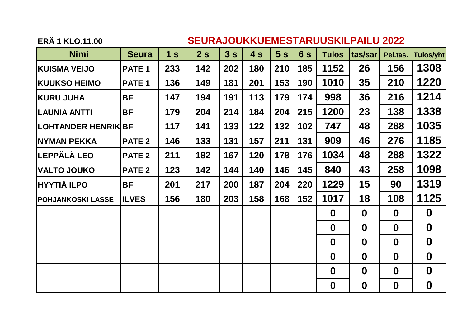#### **ERÄ 1 KLO.11.00 SEURAJOUKKUEMESTARUUSKILPAILU 2022**

| <b>Nimi</b>              | <b>Seura</b>      | 1 <sub>s</sub> | 2s  | 3s  | 4s  | 5s  | 6s  | <b>Tulos</b>     | tas/sar          | Pel.tas.         | <b>Tulos/yht</b> |
|--------------------------|-------------------|----------------|-----|-----|-----|-----|-----|------------------|------------------|------------------|------------------|
| <b>KUISMA VEIJO</b>      | PATE <sub>1</sub> | 233            | 142 | 202 | 180 | 210 | 185 | 1152             | 26               | 156              | 1308             |
| <b>KUUKSO HEIMO</b>      | PATE <sub>1</sub> | 136            | 149 | 181 | 201 | 153 | 190 | 1010             | 35               | 210              | 1220             |
| <b>KURU JUHA</b>         | <b>BF</b>         | 147            | 194 | 191 | 113 | 179 | 174 | 998              | 36               | 216              | 1214             |
| <b>LAUNIA ANTTI</b>      | <b>BF</b>         | 179            | 204 | 214 | 184 | 204 | 215 | 1200             | 23               | 138              | 1338             |
| LOHTANDER HENRIK BF      |                   | 117            | 141 | 133 | 122 | 132 | 102 | 747              | 48               | 288              | 1035             |
| <b>NYMAN PEKKA</b>       | <b>PATE 2</b>     | 146            | 133 | 131 | 157 | 211 | 131 | 909              | 46               | 276              | 1185             |
| <b>ILEPPÄLÄ LEO</b>      | <b>PATE 2</b>     | 211            | 182 | 167 | 120 | 178 | 176 | 1034             | 48               | 288              | 1322             |
| <b>VALTO JOUKO</b>       | <b>PATE 2</b>     | 123            | 142 | 144 | 140 | 146 | 145 | 840              | 43               | 258              | 1098             |
| <b>HYYTIÄ ILPO</b>       | <b>BF</b>         | 201            | 217 | 200 | 187 | 204 | 220 | 1229             | 15               | 90               | 1319             |
| <b>POHJANKOSKI LASSE</b> | <b>ILVES</b>      | 156            | 180 | 203 | 158 | 168 | 152 | 1017             | 18               | 108              | 1125             |
|                          |                   |                |     |     |     |     |     | $\boldsymbol{0}$ | $\bf{0}$         | $\boldsymbol{0}$ | $\mathbf 0$      |
|                          |                   |                |     |     |     |     |     | $\mathbf 0$      | $\boldsymbol{0}$ | $\boldsymbol{0}$ | $\boldsymbol{0}$ |
|                          |                   |                |     |     |     |     |     | $\boldsymbol{0}$ | $\boldsymbol{0}$ | $\boldsymbol{0}$ | $\boldsymbol{0}$ |
|                          |                   |                |     |     |     |     |     | $\boldsymbol{0}$ | $\bf{0}$         | $\boldsymbol{0}$ | $\boldsymbol{0}$ |
|                          |                   |                |     |     |     |     |     | $\boldsymbol{0}$ | $\boldsymbol{0}$ | $\boldsymbol{0}$ | $\boldsymbol{0}$ |
|                          |                   |                |     |     |     |     |     | $\boldsymbol{0}$ | $\boldsymbol{0}$ | $\boldsymbol{0}$ | $\boldsymbol{0}$ |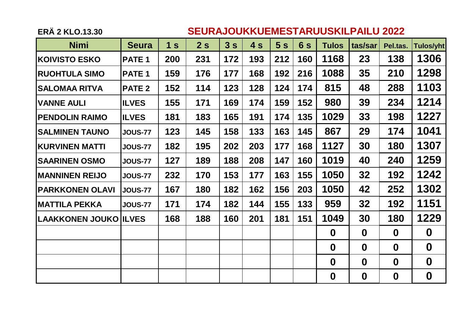### **ERÄ 2 KLO.13.30 SEURAJOUKKUEMESTARUUSKILPAILU 2022**

| <b>Nimi</b>                  | <b>Seura</b>      | 1 <sub>s</sub> | 2s  | 3s  | 4s  | 5s  | 6s  | <b>Tulos</b>     | tas/sar          | Pel.tas.         | <b>Tulos/yht</b> |
|------------------------------|-------------------|----------------|-----|-----|-----|-----|-----|------------------|------------------|------------------|------------------|
| <b>KOIVISTO ESKO</b>         | PATE <sub>1</sub> | 200            | 231 | 172 | 193 | 212 | 160 | 1168             | 23               | 138              | 1306             |
| <b>RUOHTULA SIMO</b>         | PATE <sub>1</sub> | 159            | 176 | 177 | 168 | 192 | 216 | 1088             | 35               | 210              | 1298             |
| <b>SALOMAA RITVA</b>         | <b>PATE 2</b>     | 152            | 114 | 123 | 128 | 124 | 174 | 815              | 48               | 288              | 1103             |
| <b>VANNE AULI</b>            | <b>ILVES</b>      | 155            | 171 | 169 | 174 | 159 | 152 | 980              | 39               | 234              | 1214             |
| <b>PENDOLIN RAIMO</b>        | <b>ILVES</b>      | 181            | 183 | 165 | 191 | 174 | 135 | 1029             | 33               | 198              | 1227             |
| <b>SALMINEN TAUNO</b>        | <b>JOUS-77</b>    | 123            | 145 | 158 | 133 | 163 | 145 | 867              | 29               | 174              | 1041             |
| <b>KURVINEN MATTI</b>        | <b>JOUS-77</b>    | 182            | 195 | 202 | 203 | 177 | 168 | 1127             | 30               | 180              | 1307             |
| <b>SAARINEN OSMO</b>         | <b>JOUS-77</b>    | 127            | 189 | 188 | 208 | 147 | 160 | 1019             | 40               | 240              | 1259             |
| <b>MANNINEN REIJO</b>        | <b>JOUS-77</b>    | 232            | 170 | 153 | 177 | 163 | 155 | 1050             | 32               | 192              | 1242             |
| <b>PARKKONEN OLAVI</b>       | <b>JOUS-77</b>    | 167            | 180 | 182 | 162 | 156 | 203 | 1050             | 42               | 252              | 1302             |
| <b>MATTILA PEKKA</b>         | <b>JOUS-77</b>    | 171            | 174 | 182 | 144 | 155 | 133 | 959              | 32               | 192              | 1151             |
| <b>LAAKKONEN JOUKO ILVES</b> |                   | 168            | 188 | 160 | 201 | 181 | 151 | 1049             | 30               | 180              | 1229             |
|                              |                   |                |     |     |     |     |     | $\boldsymbol{0}$ | $\boldsymbol{0}$ | $\boldsymbol{0}$ | $\boldsymbol{0}$ |
|                              |                   |                |     |     |     |     |     | $\boldsymbol{0}$ | $\boldsymbol{0}$ | $\boldsymbol{0}$ | $\boldsymbol{0}$ |
|                              |                   |                |     |     |     |     |     | $\boldsymbol{0}$ | $\bf{0}$         | $\mathbf 0$      | $\boldsymbol{0}$ |
|                              |                   |                |     |     |     |     |     | $\boldsymbol{0}$ | $\boldsymbol{0}$ | $\boldsymbol{0}$ | $\boldsymbol{0}$ |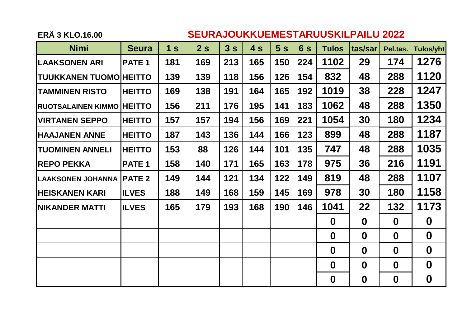### **ERÄ 3 KLO.16.00 SEURAJOUKKUEMESTARUUSKILPAILU 2022**

| <b>Nimi</b>                   | <b>Seura</b>      | 1 <sub>s</sub> | 2s  | 3s  | 4s  | 5s  | 6s  | <b>Tulos</b>     | tas/sar          | Pel.tas.         | <b>Tulos/yht</b> |
|-------------------------------|-------------------|----------------|-----|-----|-----|-----|-----|------------------|------------------|------------------|------------------|
| <b>LAAKSONEN ARI</b>          | PATE <sub>1</sub> | 181            | 169 | 213 | 165 | 150 | 224 | 1102             | 29               | 174              | 1276             |
| <b>TUUKKANEN TUOMO HEITTO</b> |                   | 139            | 139 | 118 | 156 | 126 | 154 | 832              | 48               | 288              | 1120             |
| <b>TAMMINEN RISTO</b>         | <b>HEITTO</b>     | 169            | 138 | 191 | 164 | 165 | 192 | 1019             | 38               | 228              | 1247             |
| <b>RUOTSALAINEN KIMMO</b>     | <b>HEITTO</b>     | 156            | 211 | 176 | 195 | 141 | 183 | 1062             | 48               | 288              | 1350             |
| <b>VIRTANEN SEPPO</b>         | <b>HEITTO</b>     | 157            | 157 | 194 | 156 | 169 | 221 | 1054             | 30               | 180              | 1234             |
| <b>HAAJANEN ANNE</b>          | <b>HEITTO</b>     | 187            | 143 | 136 | 144 | 166 | 123 | 899              | 48               | 288              | 1187             |
| <b>TUOMINEN ANNELI</b>        | <b>HEITTO</b>     | 153            | 88  | 126 | 144 | 101 | 135 | 747              | 48               | 288              | 1035             |
| <b>REPO PEKKA</b>             | PATE <sub>1</sub> | 158            | 140 | 171 | 165 | 163 | 178 | 975              | 36               | 216              | 1191             |
| <b>LAAKSONEN JOHANNA</b>      | <b>PATE 2</b>     | 149            | 144 | 121 | 134 | 122 | 149 | 819              | 48               | 288              | 1107             |
| <b>HEISKANEN KARI</b>         | <b>ILVES</b>      | 188            | 149 | 168 | 159 | 145 | 169 | 978              | 30               | 180              | 1158             |
| <b>NIKANDER MATTI</b>         | <b>ILVES</b>      | 165            | 179 | 193 | 168 | 190 | 146 | 1041             | 22               | 132              | 1173             |
|                               |                   |                |     |     |     |     |     | $\mathbf 0$      | $\boldsymbol{0}$ | $\boldsymbol{0}$ | $\boldsymbol{0}$ |
|                               |                   |                |     |     |     |     |     | $\boldsymbol{0}$ | $\mathbf 0$      | $\mathbf 0$      | $\boldsymbol{0}$ |
|                               |                   |                |     |     |     |     |     | $\boldsymbol{0}$ | $\boldsymbol{0}$ | $\boldsymbol{0}$ | $\boldsymbol{0}$ |
|                               |                   |                |     |     |     |     |     | $\boldsymbol{0}$ | $\bf{0}$         | $\mathbf 0$      | $\boldsymbol{0}$ |
|                               |                   |                |     |     |     |     |     | $\boldsymbol{0}$ | $\boldsymbol{0}$ | $\boldsymbol{0}$ | $\boldsymbol{0}$ |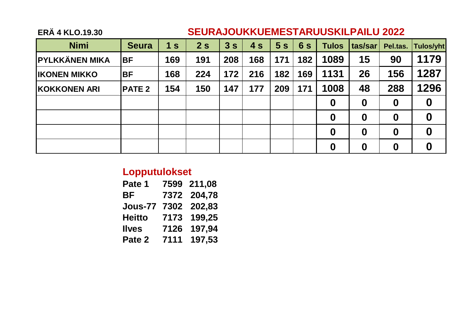## **ERÄ 4 KLO.19.30 SEURAJOUKKUEMESTARUUSKILPAILU 2022**

| <b>Nimi</b>           | <b>Seura</b>  | 1 <sub>s</sub> | 2s  | 3s  | 4s  | 5s  | 6s  | <b>Tulos</b>     | tas/sar          | Pel.tas.         | Tulos/yht        |
|-----------------------|---------------|----------------|-----|-----|-----|-----|-----|------------------|------------------|------------------|------------------|
| <b>PYLKKÄNEN MIKA</b> | <b>BF</b>     | 169            | 191 | 208 | 168 | 171 | 182 | 1089             | 15               | 90               | 1179             |
| <b>IKONEN MIKKO</b>   | <b>BF</b>     | 168            | 224 | 172 | 216 | 182 | 169 | 1131             | 26               | 156              | 1287             |
| <b>KOKKONEN ARI</b>   | <b>PATE 2</b> | 154            | 150 | 147 | 177 | 209 | 171 | 1008             | 48               | 288              | 1296             |
|                       |               |                |     |     |     |     |     | $\boldsymbol{0}$ | $\boldsymbol{0}$ | $\boldsymbol{0}$ | $\boldsymbol{0}$ |
|                       |               |                |     |     |     |     |     | $\boldsymbol{0}$ | $\boldsymbol{0}$ | $\boldsymbol{0}$ | $\boldsymbol{0}$ |
|                       |               |                |     |     |     |     |     | $\boldsymbol{0}$ | $\boldsymbol{0}$ | $\boldsymbol{0}$ | $\boldsymbol{0}$ |
|                       |               |                |     |     |     |     |     | $\boldsymbol{0}$ | $\boldsymbol{0}$ | $\boldsymbol{0}$ | $\boldsymbol{0}$ |

# **Lopputulokset**

| Pate 1         |      | 7599 211.08 |
|----------------|------|-------------|
| ВF             | 7372 | 204,78      |
| <b>Jous-77</b> | 7302 | 202,83      |
| Heitto         | 7173 | 199,25      |
| <b>Ilves</b>   | 7126 | 197.94      |
| Pate 2         | 7111 | 197,53      |